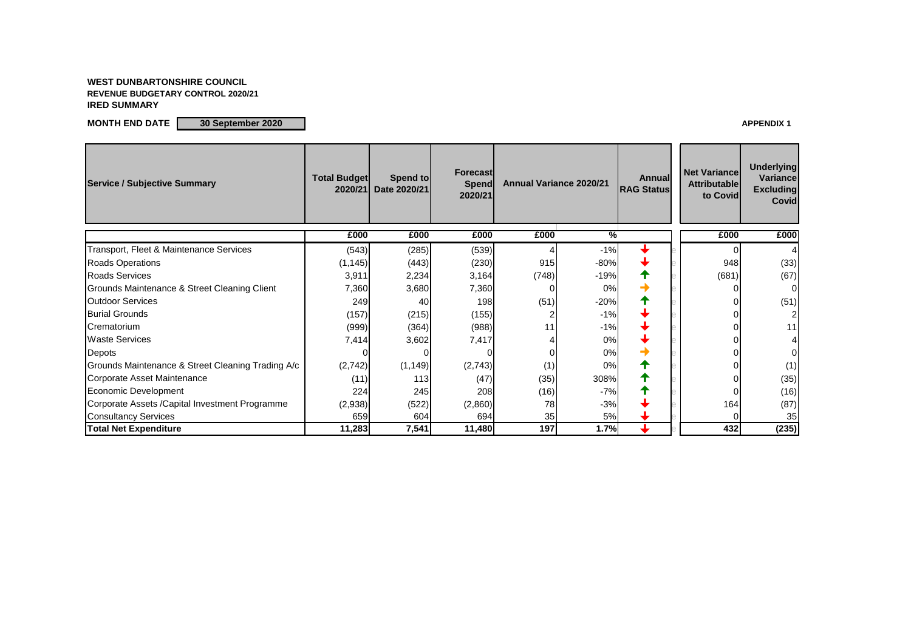## **WEST DUNBARTONSHIRE COUNCIL REVENUE BUDGETARY CONTROL 2020/21 IRED SUMMARY**

**MONTH END DATE**  $\begin{bmatrix} 30 \text{ September } 2020 \end{bmatrix}$ 

| <b>Net Variance</b><br><b>Attributable</b><br>to Covid | <b>Underlying</b><br><b>Variance</b><br><b>Excluding</b><br>Covid |
|--------------------------------------------------------|-------------------------------------------------------------------|
| £000                                                   | £000                                                              |
| 0                                                      | 4                                                                 |
| 948                                                    | (33)                                                              |
| (681)                                                  | (67)                                                              |
|                                                        | ⋂                                                                 |
|                                                        | (51)                                                              |
|                                                        | $\overline{c}$                                                    |
|                                                        | 11                                                                |
|                                                        | 4                                                                 |
|                                                        | $\overline{0}$                                                    |
|                                                        | (1)                                                               |
|                                                        | (35)                                                              |
|                                                        | (16)                                                              |
| 164                                                    | (87)                                                              |
| ი                                                      | 35                                                                |
| 432                                                    | (235)                                                             |

| <b>Service / Subjective Summary</b>               | <b>Total Budget</b><br>2020/21 | Spend to<br>Date 2020/21 | Forecast<br><b>Spend</b><br>2020/21 | <b>Annual Variance 2020/21</b> |               | <b>Annual</b><br><b>RAG Status</b> | <b>Net Variance</b><br><b>Attributable</b><br>to Covid | <b>Underlying</b><br><b>Variance</b><br><b>Excluding</b><br><b>Covid</b> |
|---------------------------------------------------|--------------------------------|--------------------------|-------------------------------------|--------------------------------|---------------|------------------------------------|--------------------------------------------------------|--------------------------------------------------------------------------|
|                                                   | £000                           | £000                     | £000                                | £000                           | $\frac{9}{6}$ |                                    | £000                                                   | £000                                                                     |
| Transport, Fleet & Maintenance Services           | (543)                          | (285)                    | (539)                               |                                | $-1%$         |                                    |                                                        |                                                                          |
| <b>Roads Operations</b>                           | (1, 145)                       | (443)                    | (230)                               | 915                            | $-80%$        |                                    | 948                                                    | (33)                                                                     |
| <b>Roads Services</b>                             | 3,911                          | 2,234                    | 3,164                               | (748)                          | $-19%$        |                                    | (681)                                                  | (67)                                                                     |
| Grounds Maintenance & Street Cleaning Client      | 7,360                          | 3,680                    | 7,360                               |                                | 0%            |                                    |                                                        |                                                                          |
| <b>Outdoor Services</b>                           | 249                            | 40                       | 198                                 | (51)                           | $-20%$        |                                    |                                                        | (51)                                                                     |
| <b>Burial Grounds</b>                             | (157)                          | (215)                    | (155)                               |                                | $-1%$         |                                    |                                                        |                                                                          |
| Crematorium                                       | (999)                          | (364)                    | (988)                               | 11                             | $-1%$         |                                    |                                                        | 11                                                                       |
| <b>Waste Services</b>                             | 7,414                          | 3,602                    | 7,417                               |                                | 0%            |                                    |                                                        |                                                                          |
| Depots                                            |                                |                          |                                     |                                | 0%            |                                    |                                                        |                                                                          |
| Grounds Maintenance & Street Cleaning Trading A/c | (2,742)                        | (1, 149)                 | (2,743)                             | (1)                            | 0%            |                                    |                                                        | (1)                                                                      |
| Corporate Asset Maintenance                       | (11)                           | 113                      | (47)                                | (35)                           | 308%          |                                    |                                                        | (35)                                                                     |
| Economic Development                              | 224                            | 245                      | 208                                 | (16)                           | $-7%$         |                                    |                                                        | (16)                                                                     |
| Corporate Assets / Capital Investment Programme   | (2,938)                        | (522)                    | (2,860)                             | 78                             | $-3%$         |                                    | 164                                                    | (87)                                                                     |
| <b>Consultancy Services</b>                       | 659                            | 604                      | 694                                 | 35                             | 5%            |                                    |                                                        | 35                                                                       |
| <b>Total Net Expenditure</b>                      | 11,283                         | 7,541                    | 11,480                              | 197                            | 1.7%          |                                    | 432                                                    | (235)                                                                    |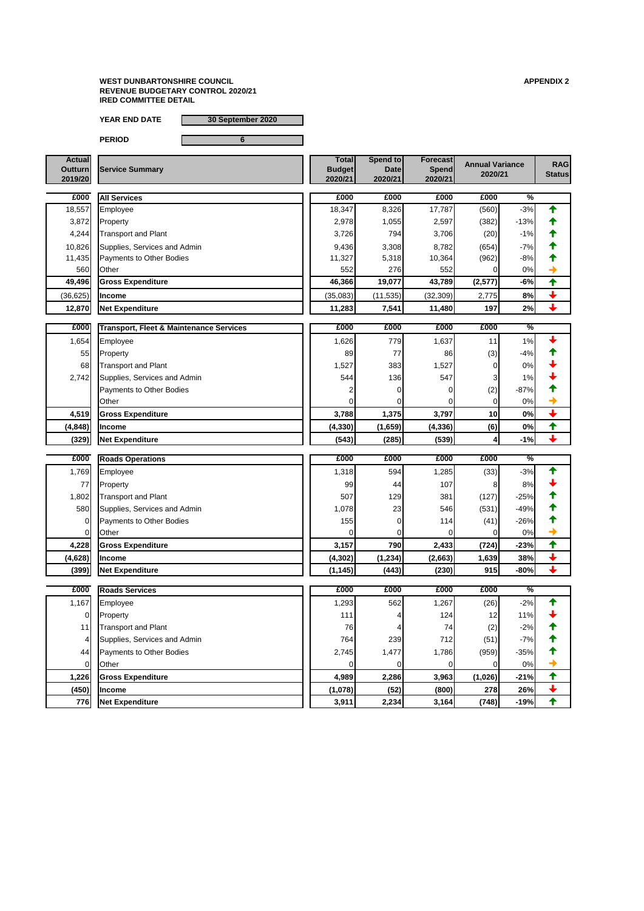**YEAR END DATE 30 September 2020**

**PERIOD 6**

| £000     | <b>Transport, Fleet &amp; Maintenance Services</b> | £000     | £000         | £000     | £000 | $\frac{1}{2}$ |  |
|----------|----------------------------------------------------|----------|--------------|----------|------|---------------|--|
| 1,654    | Employee                                           | 1,626    | 779 <b> </b> | 1,637    | 11   | 1%            |  |
| 55       | Property                                           | 89       | 77           | 86       | (3)  | $-4%$         |  |
| 68       | <b>Transport and Plant</b>                         | 1,527    | 383          | 1,527    |      | 0%            |  |
| 2,742    | Supplies, Services and Admin                       | 544      | <b>136</b>   | 547      | 3    | $1\%$         |  |
|          | <b>Payments to Other Bodies</b>                    |          |              |          | (2)  | $-87%$        |  |
|          | <b>Other</b>                                       |          |              |          |      | 0%            |  |
| 4,519    | <b>Gross Expenditure</b>                           | 3,788    | 1,375        | 3,797    | 10   | 0%            |  |
| (4, 848) | <b>Ilncome</b>                                     | (4, 330) | (1,659)      | (4, 336) | (6)  | 0%            |  |
| (329)    | <b>Net Expenditure</b>                             | (543)    | (285)        | (539)    |      | $-1%$         |  |

| <b>Actual</b><br><b>Outturn</b><br>2019/20 | <b>Service Summary</b> | <b>Total</b><br><b>Budget</b><br>2020/21 | Spend to<br><b>Date</b><br>2020/21 | <b>Forecast</b><br><b>Spend</b><br>2020/21 | <b>Annual Variance</b><br>2020/21 | <b>RAG</b><br><b>Status</b> |
|--------------------------------------------|------------------------|------------------------------------------|------------------------------------|--------------------------------------------|-----------------------------------|-----------------------------|
|                                            |                        |                                          |                                    |                                            |                                   |                             |

| £000      | <b>All Services</b>             | £000     | £000       | £000      | £000    | %      |  |
|-----------|---------------------------------|----------|------------|-----------|---------|--------|--|
| 18,557    | <b>Employee</b>                 | 18,347   | 8,326      | 17,787    | (560)   | $-3%$  |  |
| 3,872     | Property                        | 2,978    | 1,055      | 2,597     | (382)   | $-13%$ |  |
| 4,244     | <b>Transport and Plant</b>      | 3,726    | 794        | 3,706     | (20)    | $-1%$  |  |
| 10,826    | Supplies, Services and Admin    | 9,436    | 3,308      | 8,782     | (654)   | $-7%$  |  |
| 11,435    | <b>Payments to Other Bodies</b> | 11,327   | 5,318      | 10,364    | (962)   | $-8%$  |  |
| 560       | <b>Other</b>                    | 552      | <b>276</b> | 552       |         | 0%     |  |
| 49,496    | <b>Gross Expenditure</b>        | 46,366   | 19,077     | 43,789    | (2,577) | $-6%$  |  |
| (36, 625) | <b>Income</b>                   | (35,083) | (11, 535)  | (32, 309) | 2,775   | 8%     |  |
| 12,870    | <b>Net Expenditure</b>          | 11,283   | 7,541      | 11,480    | 197     | 2%     |  |

| £000     | <b>Roads Operations</b>      | £000     | £000       | £000    | £000  | $\overline{\%}$ |  |
|----------|------------------------------|----------|------------|---------|-------|-----------------|--|
| 1,769    | <b>Employee</b>              | 1,318    | 594        | 1,285   | (33)  | $-3%$           |  |
| 77       | Property                     | 99       | 44         | 107     | 81    | 8%              |  |
| ,802     | <b>Transport and Plant</b>   | 507      | 129        | 381     | (127) | $-25%$          |  |
| 580      | Supplies, Services and Admin | .078     | 23         | 546     | (531) | $-49%$          |  |
|          | Payments to Other Bodies     | 155      |            | 114     | (41)  | $-26%$          |  |
| $\Omega$ | <b>Other</b>                 |          |            |         |       | 0%              |  |
| 4,228    | <b>Gross Expenditure</b>     | 3,157    | <b>790</b> | 2,433   | (724) | $-23%$          |  |
| (4,628)  | <b>Income</b>                | (4, 302) | (1, 234)   | (2,663) | 1,639 | 38%             |  |
| (399)    | <b>Net Expenditure</b>       | (1, 145) | (443)      | (230)   | 915   | $-80%$          |  |

| £000           | <b>Roads Services</b>        | £000    | £000  | £000  | £000    | $\overline{\%}$ |  |
|----------------|------------------------------|---------|-------|-------|---------|-----------------|--|
| 1,167          | Employee                     | 1,293   | 562   | 1,267 | (26)    | $-2%$           |  |
| $\overline{0}$ | Property                     | 111     | 41    | 124   | 12      | 11%             |  |
| 11             | <b>Transport and Plant</b>   | 76      | 4     | 74    | (2)     | $-2%$           |  |
| 4              | Supplies, Services and Admin | 764     | 239   | 712   | (51)    | $-7%$           |  |
| 44             | Payments to Other Bodies     | 2,745   | 1,477 | 1,786 | (959)   | $-35%$          |  |
| $\overline{0}$ | <b>Other</b>                 |         |       |       |         | 0%              |  |
| 1,226          | <b>Gross Expenditure</b>     | 4,989   | 2,286 | 3,963 | (1,026) | $-21%$          |  |
| (450)          | <b>Income</b>                | (1,078) | (52)  | (800) | 278     | 26%             |  |
| 776            | Net Expenditure              | 3,911   | 2,234 | 3,164 | (748)   | $-19%$          |  |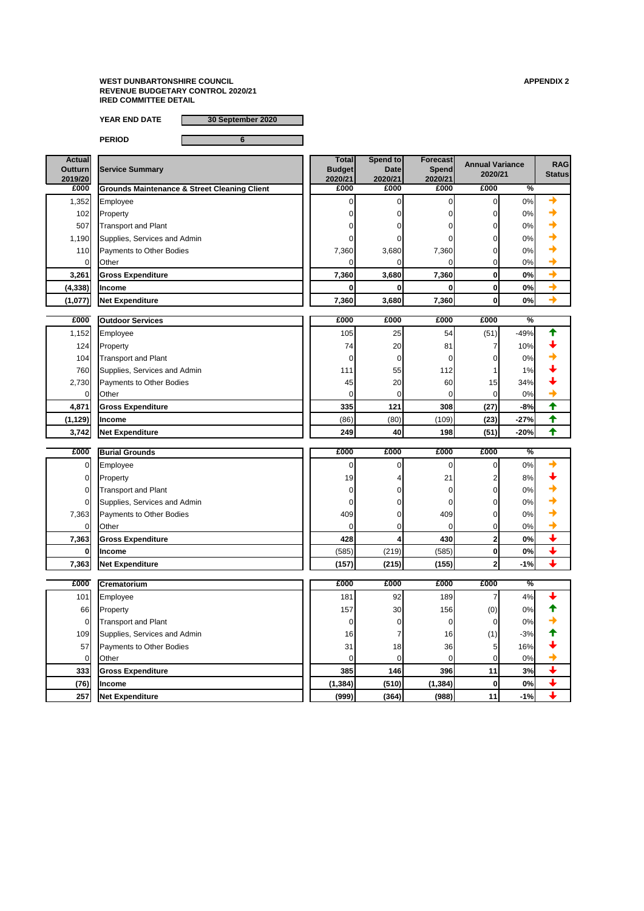**YEAR END DATE 30 September 2020**

**PERIOD 6**

| <b>Actual</b><br><b>Outturn</b><br>2019/20 | <b>Service Summary</b>                                  | <b>Total</b><br><b>Budget</b><br>2020/21 | Spend to<br><b>Date</b><br>2020/21 | <b>Forecast</b><br>Spend<br>2020/21 | <b>Annual Variance</b><br>2020/21 |                 | <b>RAG</b><br><b>Status</b> |
|--------------------------------------------|---------------------------------------------------------|------------------------------------------|------------------------------------|-------------------------------------|-----------------------------------|-----------------|-----------------------------|
| £000                                       | <b>Grounds Maintenance &amp; Street Cleaning Client</b> | £000                                     | £000                               | £000                                | £000                              | $\overline{\%}$ |                             |
| 1,352                                      | Employee                                                |                                          |                                    |                                     | 01                                | 0%              |                             |
| 102                                        | Property                                                |                                          |                                    | ΩI                                  | 01                                | 0%              |                             |
| 507                                        | <b>Transport and Plant</b>                              |                                          |                                    | ΩI                                  | 01                                | 0%              |                             |
| 1,190                                      | Supplies, Services and Admin                            |                                          |                                    | ΩI                                  | 01                                | 0%              |                             |
| 110 <sup>1</sup>                           | <b>Payments to Other Bodies</b>                         | 7,360                                    | 3,680                              | 7,360                               |                                   | 0%              |                             |
|                                            | <b>Other</b>                                            |                                          |                                    |                                     |                                   | 0%              |                             |
| 3,261                                      | <b>Gross Expenditure</b>                                | 7,360                                    | 3,680                              | 7,360                               |                                   | 0%              |                             |
| (4, 338)                                   | <b>Income</b>                                           |                                          |                                    |                                     | $\mathbf{0}$                      | 0%              |                             |
| (1,077)                                    | <b>Net Expenditure</b>                                  | 7,360                                    | 3,680                              | 7,360                               | 0                                 | 0%              |                             |

| £000     | <b>Outdoor Services</b>         | £000 | £000            | £000  | £000            | $\overline{\%}$ |  |
|----------|---------------------------------|------|-----------------|-------|-----------------|-----------------|--|
| 1,152    | Employee                        | 105  | 25              | 54    | (51)            | $-49%$          |  |
| 124      | Property                        | 74   | 20 <sub>l</sub> | 81    |                 | 10%             |  |
| 104      | <b>Transport and Plant</b>      |      | 01              |       |                 | 0%              |  |
| 7601     | Supplies, Services and Admin    | 111  | 55              | 112   |                 | $1\%$           |  |
| 2,730    | <b>Payments to Other Bodies</b> | 45   | 20              | 60    | 15 <sub>1</sub> | 34%             |  |
| ΟI       | <b>Other</b>                    |      | 01              |       |                 | 0%              |  |
| 4,871    | <b>Gross Expenditure</b>        | 335  | 121             | 308   | (27)            | $-8%$           |  |
| (1, 129) | <b>Income</b>                   | (86) | (80)            | (109) | (23)            | $-27%$          |  |
| 3,742    | <b>Net Expenditure</b>          | 249  | 40              | 198   | (51)            | $-20%$          |  |

| £000  | <b>Burial Grounds</b>        | £000  | £000  | £000  | £000 | $\overline{\%}$ |  |
|-------|------------------------------|-------|-------|-------|------|-----------------|--|
|       | Employee                     |       |       |       |      | 0%              |  |
| ΟI    | Property                     | 19    |       | 21    | ◠    | 8%              |  |
| Οl    | <b>Transport and Plant</b>   |       |       |       |      | 0%              |  |
|       | Supplies, Services and Admin |       |       |       |      | 0%              |  |
| 7,363 | Payments to Other Bodies     | 409   |       | 409   |      | 0%              |  |
|       | <b>Other</b>                 |       |       |       |      | 0%              |  |
| 7,363 | <b>Gross Expenditure</b>     | 428   |       | 430   |      | 0%              |  |
|       | <b>Ilncome</b>               | (585) | (219) | (585) |      | 0%              |  |
| 7,363 | <b>Net Expenditure</b>       | (157) | (215) | (155) |      | $-1%$           |  |

| £000 | <b>Crematorium</b>           | £000     | £000            | £000       | £000 | $\sqrt[6]{\bullet}$ |  |
|------|------------------------------|----------|-----------------|------------|------|---------------------|--|
| 101  | Employee                     | 181      | 92              | 189        |      | 4%                  |  |
| 66   | Property                     | 157      | 30 <sup>°</sup> | 1561       | (0)  | 0%                  |  |
| 01   | <b>Transport and Plant</b>   |          | 01              | υı         | 0    | 0%                  |  |
| 109  | Supplies, Services and Admin | 16       |                 | 16         | (1)  | $-3%$               |  |
| 57   | Payments to Other Bodies     | 31       | 18              | 36         | 5    | 16%                 |  |
| 01   | Other                        |          |                 | ΩI         | 0    | 0%                  |  |
| 333  | <b>Gross Expenditure</b>     | 385      | <b>146</b>      | <b>396</b> | 11   | 3%                  |  |
| (76) | <b>Income</b>                | (1, 384) | (510)           | (1, 384)   |      | 0%                  |  |
| 257  | Net Expenditure              | (999)    | (364)           | (988)      | 11   | $-1%$               |  |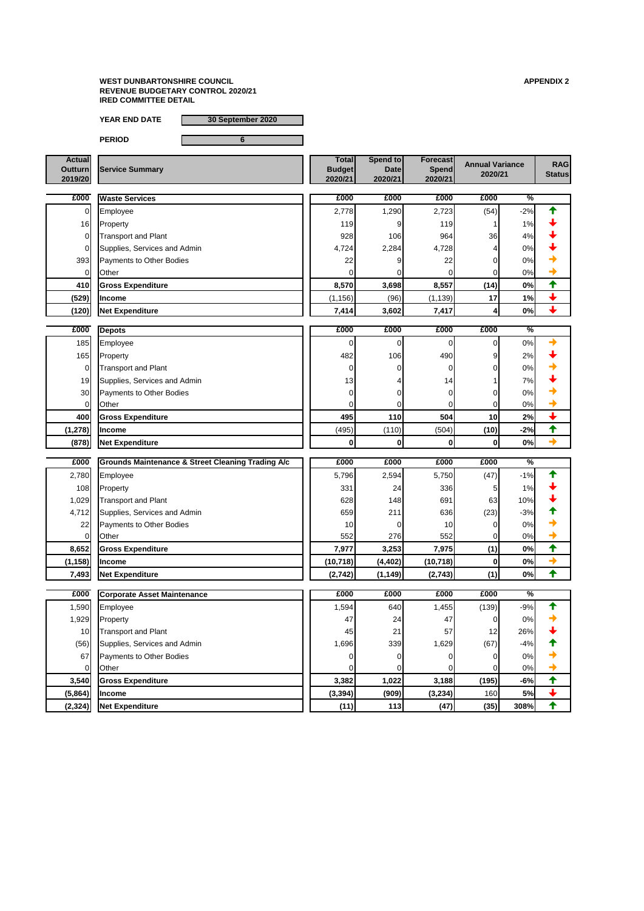**YEAR END DATE 30 September 2020**

**PERIOD 6**

| <b>Actual</b>  |                        | <b>Total</b>  | <b>Spend tol</b> | <b>Forecast</b> | <b>Annual Variance</b> | <b>RAG</b>    |
|----------------|------------------------|---------------|------------------|-----------------|------------------------|---------------|
| <b>Outturn</b> | <b>Service Summary</b> | <b>Budget</b> | <b>Datel</b>     | <b>Spend</b>    | 2020/21                |               |
| 2019/20        |                        | 2020/21       | 2020/21          | 2020/21         |                        | <b>Status</b> |

| £000  | <b>Waste Services</b>        | £000     | £000  | £000     | £000            | $\frac{1}{2}$ |  |
|-------|------------------------------|----------|-------|----------|-----------------|---------------|--|
|       | Employee                     | 2,778    | 1,290 | 2,723    | (54)            | $-2%$         |  |
| 16    | Property                     | 119      | 91    | 119      |                 | $1\%$         |  |
|       | <b>Transport and Plant</b>   | 928      | 106   | 964      | 36              | 4%            |  |
|       | Supplies, Services and Admin | 4,724    | 2,284 | 4,728    |                 | 0%            |  |
| 393   | Payments to Other Bodies     | 22       | 91    | 22       | 01              | 0%            |  |
|       | <b>Other</b>                 |          | ΟI    |          |                 | 0%            |  |
| 410   | <b>Gross Expenditure</b>     | 8,570    | 3,698 | 8,557    | (14)            | 0%            |  |
| (529) | <b>Income</b>                | (1, 156) | (96)  | (1, 139) | 17 <sub>1</sub> | 1%            |  |
| (120) | <b>Net Expenditure</b>       | 7,414    | 3,602 | 7,417    |                 | 0%            |  |

| £000                    | <b>Depots</b>                   | £000            | £000  | £000  | £000 | $\overline{\%}$ |  |
|-------------------------|---------------------------------|-----------------|-------|-------|------|-----------------|--|
| 185                     | Employee                        |                 | υı    |       |      | 0%              |  |
| 165                     | Property                        | 482             | 106   | 490   | 9    | 2%              |  |
| 01                      | <b>Transport and Plant</b>      |                 | 01    |       |      | 0%              |  |
| 19                      | Supplies, Services and Admin    | 13 <sub>l</sub> |       | 14    |      | 7%              |  |
| 30 <sup>l</sup>         | <b>Payments to Other Bodies</b> |                 | JI    |       |      | 0%              |  |
| $\overline{\mathsf{L}}$ | <b>Other</b>                    |                 |       |       |      | 0%              |  |
| 400                     | <b>Gross Expenditure</b>        | 495             | 110   | 504   | 10   | 2%              |  |
| (1, 278)                | <b>Income</b>                   | (495)           | (110) | (504) | (10) | $-2%$           |  |
| (878)                   | <b>Net Expenditure</b>          |                 | OI    |       |      | 0%              |  |

| £000            | <b>Grounds Maintenance &amp; Street Cleaning Trading A/c</b> | £000      | £000     | £000      | £000  | $\frac{0}{2}$ |                         |
|-----------------|--------------------------------------------------------------|-----------|----------|-----------|-------|---------------|-------------------------|
| 2,780           | Employee                                                     | 5,796     | 2,594    | 5,750     | (47)  | $-1%$         | ᡨ                       |
| 108             | Property                                                     | 331       | 24       | 336       | 5     | 1%            |                         |
| 1,029           | <b>Transport and Plant</b>                                   | 628       | 148      | 691       | 63    | 10%           |                         |
| 4,712           | Supplies, Services and Admin                                 | 659       | 211      | 636       | (23)  | $-3%$         |                         |
| 22              | Payments to Other Bodies                                     | 10        |          | 10        | 0     | 0%            |                         |
|                 | Other                                                        | 552       | 276      | 552       | 01    | 0%            |                         |
| 8,652           | <b>Gross Expenditure</b>                                     | 7,977     | 3,253    | 7,975     | (1)   | 0%            | ✦                       |
| (1, 158)        | <b>Income</b>                                                | (10, 718) | (4, 402) | (10, 718) | 0     | 0%            | $\rightarrow$           |
| 7,493           | <b>Net Expenditure</b>                                       | (2,742)   | (1, 149) | (2, 743)  | (1)   | 0%            | ✦                       |
|                 |                                                              |           |          |           |       |               |                         |
|                 |                                                              |           |          |           |       |               |                         |
| £000            | <b>Corporate Asset Maintenance</b>                           | £000      | £000     | £000      | £000  | $\frac{9}{6}$ |                         |
| 1,590           | Employee                                                     | 1,594     | 640      | 1,455     | (139) | $-9%$         |                         |
| 1,929           | Property                                                     | 47        | 24       | 47        |       | 0%            |                         |
| 10 <sup>1</sup> | <b>Transport and Plant</b>                                   | 45        | 21       | 57        | 12    | 26%           |                         |
| (56)            | Supplies, Services and Admin                                 | 1,696     | 339      | 1,629     | (67)  | $-4%$         |                         |
| 67              | Payments to Other Bodies                                     |           |          |           |       | 0%            |                         |
| 0               | Other                                                        |           |          |           | 01    | 0%            |                         |
| 3,540           | <b>Gross Expenditure</b>                                     | 3,382     | 1,022    | 3,188     | (195) | $-6%$         | 个                       |
| (5,864)         | <b>Income</b>                                                | (3, 394)  | (909)    | (3, 234)  | 160   | 5%            | $\overline{\mathbf{t}}$ |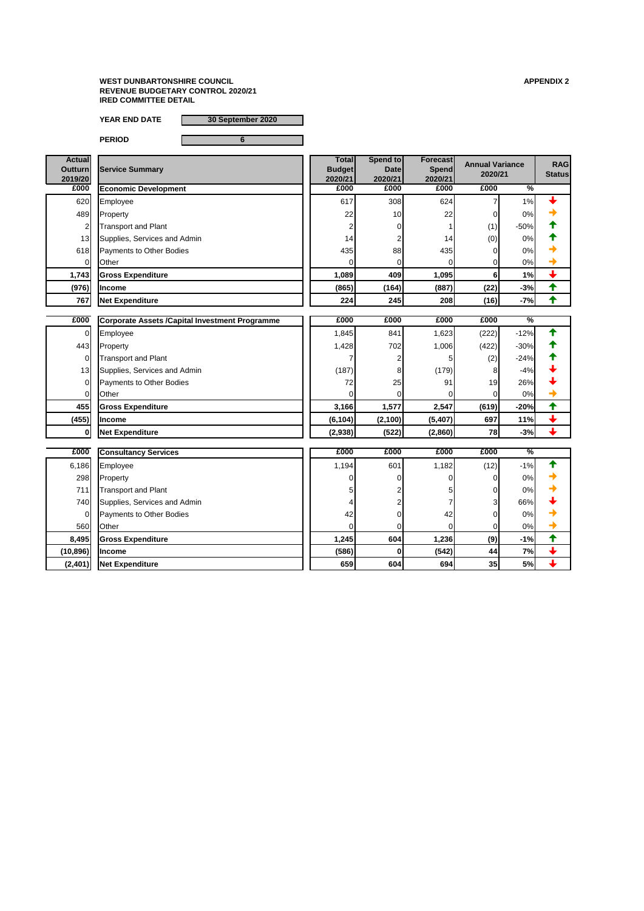**YEAR END DATE 30 September 2020**

**PERIOD 6**

| <b>Actual</b><br><b>Outturn</b><br>2019/20 | <b>Service Summary</b>          | <b>Total</b><br><b>Budget</b><br>2020/21 | Spend to<br><b>Date</b><br>2020/21 | <b>Forecast</b><br><b>Spend</b><br>2020/21 | <b>Annual Variance</b><br>2020/21 |        | <b>RAG</b><br><b>Status</b> |
|--------------------------------------------|---------------------------------|------------------------------------------|------------------------------------|--------------------------------------------|-----------------------------------|--------|-----------------------------|
| £000                                       | <b>Economic Development</b>     | £000                                     | £000                               | £000                                       | £000                              | %      |                             |
| 620                                        | Employee                        | 617                                      | 308                                | 624                                        |                                   | $1\%$  |                             |
| 489                                        | Property                        | 22                                       | 10 <sub>l</sub>                    | 22                                         | 0                                 | 0%     |                             |
| $\overline{2}$                             | <b>Transport and Plant</b>      |                                          |                                    |                                            | (1)                               | $-50%$ |                             |
| 13                                         | Supplies, Services and Admin    | 14                                       |                                    | 14                                         | (0)                               | 0%     |                             |
| 618                                        | <b>Payments to Other Bodies</b> | 435                                      | 88                                 | 435                                        | 0                                 | 0%     |                             |
| ΟI                                         | Other                           |                                          |                                    |                                            | $\overline{0}$                    | 0%     |                             |
| 1,743                                      | <b>Gross Expenditure</b>        | 1,089                                    | 409                                | 1,095                                      | 6                                 | 1%     |                             |
| (976)                                      | <b>Income</b>                   | (865)                                    | (164)                              | (887)                                      | (22)                              | $-3%$  |                             |
| 767                                        | <b>Net Expenditure</b>          | 224                                      | 245                                | 208                                        | (16)                              | $-7%$  |                             |

| £000           | <b>Corporate Assets / Capital Investment Programme</b> | £000     | £000    | £000    | £000            | $\sqrt{\frac{9}{6}}$ |  |
|----------------|--------------------------------------------------------|----------|---------|---------|-----------------|----------------------|--|
| 01             | Employee                                               | 1,845    | 841     | 1,623   | (222)           | $-12%$               |  |
| 443            | Property                                               | 1,428    | 702     | 1,006   | (422)           | $-30%$               |  |
| $\overline{0}$ | <b>Transport and Plant</b>                             |          |         |         | (2)             | $-24%$               |  |
| 13             | Supplies, Services and Admin                           | (187)    | 81      | (179)   | 8               | $-4%$                |  |
| ΟI             | <b>Payments to Other Bodies</b>                        | 72       | 25      | 91      | 19 <sup>1</sup> | 26%                  |  |
| Οl             | Other                                                  |          |         |         | 01              | 0%                   |  |
| 455            | <b>Gross Expenditure</b>                               | 3,166    | 1,577   | 2,547   | (619)           | $-20%$               |  |
| (455)          | <b>Income</b>                                          | (6, 104) | (2,100) | (5,407) | 697             | 11%                  |  |
| 01             | <b>Net Expenditure</b>                                 | (2,938)  | (522)   | (2,860) | 78              | $-3%$                |  |

| £000      | <b>Consultancy Services</b>     | £000  | £000 | £000  | £000 | $\overline{\%}$ |  |
|-----------|---------------------------------|-------|------|-------|------|-----------------|--|
| 6,186     | Employee                        | 1,194 | 601  | 1,182 | (12) | $-1%$           |  |
| 298       | Property                        |       |      |       |      | 0%              |  |
| 711       | <b>Transport and Plant</b>      |       |      |       |      | 0%              |  |
| 740       | Supplies, Services and Admin    |       |      |       | 3    | 66%             |  |
| 01        | <b>Payments to Other Bodies</b> | 42    |      | 42    |      | 0%              |  |
| 560       | Other                           |       |      |       |      | 0%              |  |
| 8,495     | <b>Gross Expenditure</b>        | 1,245 | 604  | 1,236 | (9)  | $-1%$           |  |
| (10, 896) | <b>Income</b>                   | (586) |      | (542) | 44   | 7%              |  |
| (2,401)   | <b>Net Expenditure</b>          | 659   | 604  | 694   | 35   | 5%              |  |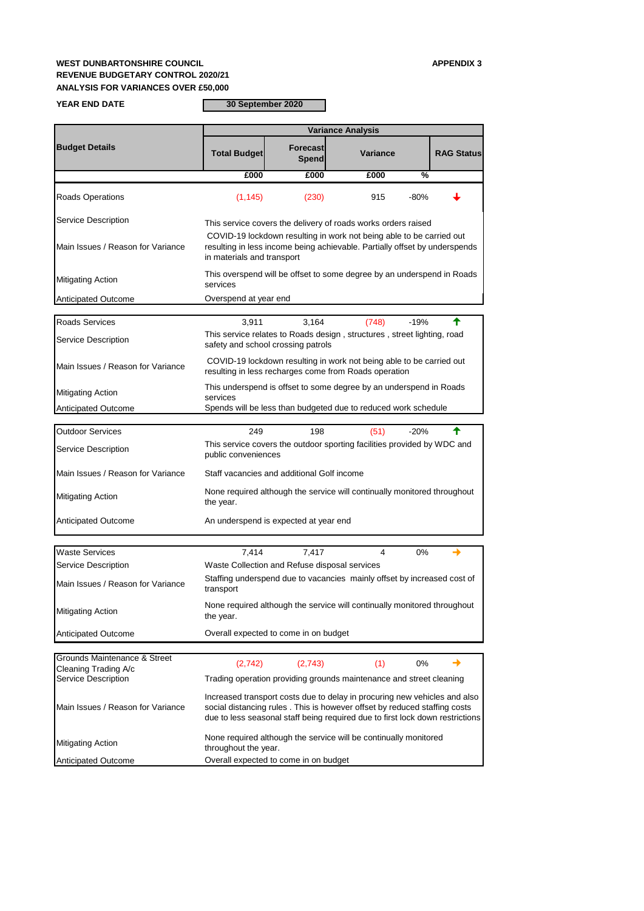# **WEST DUNBARTONSHIRE COUNCIL APPENDIX 3 REVENUE BUDGETARY CONTROL 2020/21 ANALYSIS FOR VARIANCES OVER £50,000**

## **YEAR END DATE**

**30 September 2020**

Anticipated Outcome

|                                   |                                                                                                                                                                                  | <b>Variance Analysis</b>            |                                                                                                                               |               |  |  |  |
|-----------------------------------|----------------------------------------------------------------------------------------------------------------------------------------------------------------------------------|-------------------------------------|-------------------------------------------------------------------------------------------------------------------------------|---------------|--|--|--|
| <b>Budget Details</b>             | <b>Total Budget</b>                                                                                                                                                              | <b>Forecast</b><br>Spend            | <b>Variance</b>                                                                                                               |               |  |  |  |
|                                   | £000                                                                                                                                                                             | £000                                | £000                                                                                                                          | $\frac{0}{0}$ |  |  |  |
| <b>Roads Operations</b>           | (1, 145)                                                                                                                                                                         | (230)                               | 915                                                                                                                           | $-80%$        |  |  |  |
| <b>Service Description</b>        |                                                                                                                                                                                  |                                     | This service covers the delivery of roads works orders raised                                                                 |               |  |  |  |
| Main Issues / Reason for Variance | COVID-19 lockdown resulting in work not being able to be carried out<br>resulting in less income being achievable. Partially offset by underspends<br>in materials and transport |                                     |                                                                                                                               |               |  |  |  |
| <b>Mitigating Action</b>          | services                                                                                                                                                                         |                                     | This overspend will be offset to some degree by an underspend in Roads                                                        |               |  |  |  |
| <b>Anticipated Outcome</b>        | Overspend at year end                                                                                                                                                            |                                     |                                                                                                                               |               |  |  |  |
| <b>Roads Services</b>             |                                                                                                                                                                                  |                                     |                                                                                                                               |               |  |  |  |
| <b>Service Description</b>        | 3,164<br>3,911<br>(748)<br>$-19%$<br>This service relates to Roads design, structures, street lighting, road<br>safety and school crossing patrols                               |                                     |                                                                                                                               |               |  |  |  |
| Main Issues / Reason for Variance |                                                                                                                                                                                  |                                     | COVID-19 lockdown resulting in work not being able to be carried out<br>resulting in less recharges come from Roads operation |               |  |  |  |
| <b>Mitigating Action</b>          | services                                                                                                                                                                         |                                     | This underspend is offset to some degree by an underspend in Roads                                                            |               |  |  |  |
| <b>Anticipated Outcome</b>        |                                                                                                                                                                                  |                                     | Spends will be less than budgeted due to reduced work schedule                                                                |               |  |  |  |
| <b>Outdoor Services</b>           | 249                                                                                                                                                                              | 198                                 | (51)                                                                                                                          | $-20%$        |  |  |  |
| <b>Service Description</b>        | public conveniences                                                                                                                                                              |                                     | This service covers the outdoor sporting facilities provided by WDC and                                                       |               |  |  |  |
| Main Issues / Reason for Variance | Staff vacancies and additional Golf income                                                                                                                                       |                                     |                                                                                                                               |               |  |  |  |
| <b>Mitigating Action</b>          | the year.                                                                                                                                                                        |                                     | None required although the service will continually monitored throughout                                                      |               |  |  |  |
| <b>Anticipated Outcome</b>        | An underspend is expected at year end                                                                                                                                            |                                     |                                                                                                                               |               |  |  |  |
| <b>Waste Services</b>             | 7,414                                                                                                                                                                            | 7,417                               | 4                                                                                                                             | 0%            |  |  |  |
| <b>Service Description</b>        |                                                                                                                                                                                  |                                     |                                                                                                                               |               |  |  |  |
| Main Issues / Reason for Variance | Waste Collection and Refuse disposal services<br>Staffing underspend due to vacancies mainly offset by increased cost of<br>transport                                            |                                     |                                                                                                                               |               |  |  |  |
| <b>Mitigating Action</b>          | the year.                                                                                                                                                                        |                                     | None required although the service will continually monitored throughout                                                      |               |  |  |  |
|                                   |                                                                                                                                                                                  | arall ovposted to come in on budget |                                                                                                                               |               |  |  |  |

| Grounds Maintenance & Street<br><b>Cleaning Trading A/c</b> | (2,742)                                                                                                                                                                                                                                 | (2,743)                                                             |  | $0\%$ |  |  |  |  |
|-------------------------------------------------------------|-----------------------------------------------------------------------------------------------------------------------------------------------------------------------------------------------------------------------------------------|---------------------------------------------------------------------|--|-------|--|--|--|--|
| <b>Service Description</b>                                  |                                                                                                                                                                                                                                         | Trading operation providing grounds maintenance and street cleaning |  |       |  |  |  |  |
| Main Issues / Reason for Variance                           | Increased transport costs due to delay in procuring new vehicles and also<br>social distancing rules. This is however offset by reduced staffing costs<br>due to less seasonal staff being required due to first lock down restrictions |                                                                     |  |       |  |  |  |  |
| <b>Mitigating Action</b>                                    | None required although the service will be continually monitored<br>throughout the year.                                                                                                                                                |                                                                     |  |       |  |  |  |  |
| <b>Anticipated Outcome</b>                                  | Overall expected to come in on budget                                                                                                                                                                                                   |                                                                     |  |       |  |  |  |  |

Overall expected to come in on budget